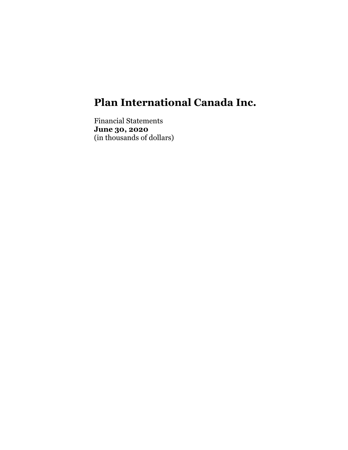**Financial Statements** June 30, 2020 (in thousands of dollars)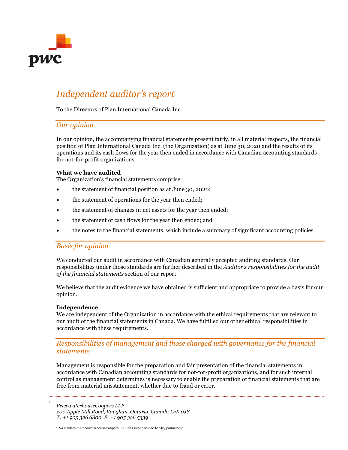

# Independent auditor's report

To the Directors of Plan International Canada Inc.

#### Our opinion

In our opinion, the accompanying financial statements present fairly, in all material respects, the financial position of Plan International Canada Inc. (the Organization) as at June 30, 2020 and the results of its operations and its cash flows for the year then ended in accordance with Canadian accounting standards for not-for-profit organizations.

#### What we have audited

The Organization's financial statements comprise:

- the statement of financial position as at June 30, 2020;
- the statement of operations for the year then ended;
- the statement of changes in net assets for the year then ended;
- the statement of cash flows for the year then ended; and
- the notes to the financial statements, which include a summary of significant accounting policies.

#### **Basis for opinion**

We conducted our audit in accordance with Canadian generally accepted auditing standards. Our responsibilities under those standards are further described in the Auditor's responsibilities for the audit of the financial statements section of our report.

We believe that the audit evidence we have obtained is sufficient and appropriate to provide a basis for our opinion.

#### **Independence**

We are independent of the Organization in accordance with the ethical requirements that are relevant to our audit of the financial statements in Canada. We have fulfilled our other ethical responsibilities in accordance with these requirements.

#### Responsibilities of management and those charged with governance for the financial *statements*

Management is responsible for the preparation and fair presentation of the financial statements in accordance with Canadian accounting standards for not-for-profit organizations, and for such internal control as management determines is necessary to enable the preparation of financial statements that are free from material misstatement, whether due to fraud or error.

PricewaterhouseCoopers LLP 200 Apple Mill Road, Vaughan, Ontario, Canada L4K oJ8 T: +1 905 326 6800, F: +1 905 326 5339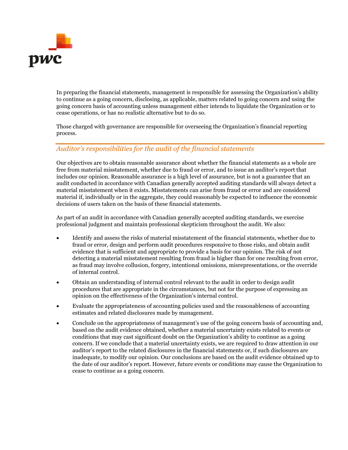

In preparing the financial statements, management is responsible for assessing the Organization's ability to continue as a going concern, disclosing, as applicable, matters related to going concern and using the going concern basis of accounting unless management either intends to liquidate the Organization or to cease operations, or has no realistic alternative but to do so.

Those charged with governance are responsible for overseeing the Organization's financial reporting process.

#### Auditor's responsibilities for the audit of the financial statements

Our objectives are to obtain reasonable assurance about whether the financial statements as a whole are free from material misstatement, whether due to fraud or error, and to issue an auditor's report that includes our opinion. Reasonable assurance is a high level of assurance, but is not a guarantee that an audit conducted in accordance with Canadian generally accepted auditing standards will always detect a material misstatement when it exists. Misstatements can arise from fraud or error and are considered material if, individually or in the aggregate, they could reasonably be expected to influence the economic decisions of users taken on the basis of these financial statements.

As part of an audit in accordance with Canadian generally accepted auditing standards, we exercise professional judgment and maintain professional skepticism throughout the audit. We also:

- 'Identify and assess the risks of material misstatement of the financial statements, whether due to fraud or error, design and perform audit procedures responsive to those risks, and obtain audit evidence that is sufficient and appropriate to provide a basis for our opinion. The risk of not detecting a material misstatement resulting from fraud is higher than for one resulting from error, as fraud may involve collusion, forgery, intentional omissions, misrepresentations, or the override of internal control.
- 'Obtain an understanding of internal control relevant to the audit in order to design audit procedures that are appropriate in the circumstances, but not for the purpose of expressing an opinion on the effectiveness of the Organization's internal control.
- 'Evaluate the appropriateness of accounting policies used and the reasonableness of accounting estimates and related disclosures made by management.
- 'Conclude on the appropriateness of management's use of the going concern basis of accounting and, based on the audit evidence obtained, whether a material uncertainty exists related to events or conditions that may cast significant doubt on the Organization's ability to continue as a going concern. If we conclude that a material uncertainty exists, we are required to draw attention in our auditor's report to the related disclosures in the financial statements or, if such disclosures are inadequate, to modify our opinion. Our conclusions are based on the audit evidence obtained up to the date of our auditor's report. However, future events or conditions may cause the Organization to cease to continue as a going concern.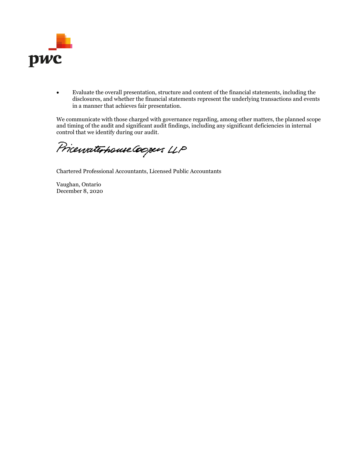

 $\bullet$ Evaluate the overall presentation, structure and content of the financial statements, including the disclosures, and whether the financial statements represent the underlying transactions and events in a manner that achieves fair presentation.

We communicate with those charged with governance regarding, among other matters, the planned scope and timing of the audit and significant audit findings, including any significant deficiencies in internal control that we identify during our audit.

Pricewaterhouse Coopers LLP

Chartered Professional Accountants, Licensed Public Accountants

Vaughan, Ontario December 8, 2020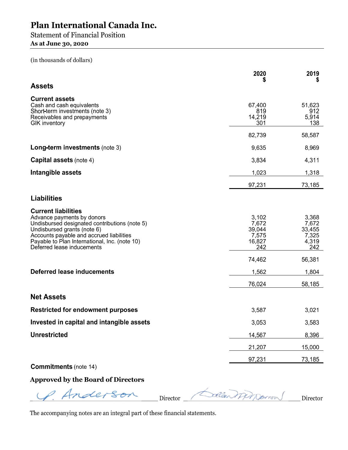**Statement of Financial Position** 

### As at June 30, 2020

(in thousands of dollars)

|                                                                                                                                                                                                                                                                     | 2020                                               | 2019                                              |
|---------------------------------------------------------------------------------------------------------------------------------------------------------------------------------------------------------------------------------------------------------------------|----------------------------------------------------|---------------------------------------------------|
| <b>Assets</b>                                                                                                                                                                                                                                                       |                                                    |                                                   |
| <b>Current assets</b><br>Cash and cash equivalents<br>Short-term investments (note 3)<br>Receivables and prepayments<br><b>GIK inventory</b>                                                                                                                        | 67,400<br>819<br>14,219<br>301                     | 51,623<br>912<br>5,914<br>138                     |
|                                                                                                                                                                                                                                                                     | 82,739                                             | 58,587                                            |
| Long-term investments (note 3)                                                                                                                                                                                                                                      | 9,635                                              | 8,969                                             |
| <b>Capital assets (note 4)</b>                                                                                                                                                                                                                                      | 3,834                                              | 4,311                                             |
| Intangible assets                                                                                                                                                                                                                                                   | 1,023                                              | 1,318                                             |
|                                                                                                                                                                                                                                                                     | 97,231                                             | 73,185                                            |
| <b>Liabilities</b>                                                                                                                                                                                                                                                  |                                                    |                                                   |
| <b>Current liabilities</b><br>Advance payments by donors<br>Undisbursed designated contributions (note 5)<br>Undisbursed grants (note 6)<br>Accounts payable and accrued liabilities<br>Payable to Plan International, Inc. (note 10)<br>Deferred lease inducements | 3,102<br>7,672<br>39,044<br>7,575<br>16,827<br>242 | 3,368<br>7,672<br>33,455<br>7,325<br>4,319<br>242 |
|                                                                                                                                                                                                                                                                     | 74,462                                             | 56,381                                            |
| <b>Deferred lease inducements</b>                                                                                                                                                                                                                                   | 1,562                                              | 1,804                                             |
|                                                                                                                                                                                                                                                                     | 76,024                                             | 58,185                                            |
| <b>Net Assets</b>                                                                                                                                                                                                                                                   |                                                    |                                                   |
| <b>Restricted for endowment purposes</b>                                                                                                                                                                                                                            | 3,587                                              | 3,021                                             |
| Invested in capital and intangible assets                                                                                                                                                                                                                           | 3,053                                              | 3,583                                             |
| <b>Unrestricted</b>                                                                                                                                                                                                                                                 | 14,567                                             | 8,396                                             |
|                                                                                                                                                                                                                                                                     | 21,207                                             | 15,000                                            |
|                                                                                                                                                                                                                                                                     | 97,231                                             | 73,185                                            |
| <b>Commitments (note 14)</b>                                                                                                                                                                                                                                        |                                                    |                                                   |

**Approved by the Board of Directors** 

Anderson Director  $\curvearrowright$ 

Director

DellanMMpproven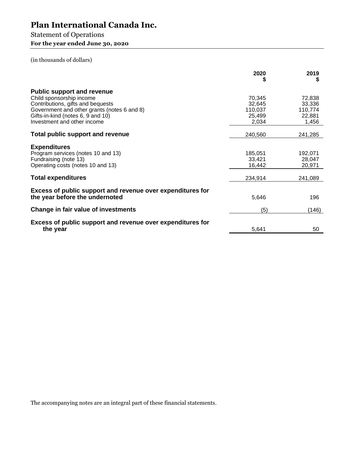### Statement of Operations

For the year ended June 30, 2020

(in thousands of dollars)

|                                                                                  | 2020<br>S         | 2019<br>S         |
|----------------------------------------------------------------------------------|-------------------|-------------------|
| <b>Public support and revenue</b>                                                |                   |                   |
| Child sponsorship income                                                         | 70.345            | 72,838            |
| Contributions, gifts and bequests<br>Government and other grants (notes 6 and 8) | 32,645<br>110,037 | 33,336<br>110,774 |
| Gifts-in-kind (notes 6, 9 and 10)                                                | 25,499            | 22,881            |
| Investment and other income                                                      | 2,034             | 1,456             |
| Total public support and revenue                                                 | 240,560           | 241,285           |
| <b>Expenditures</b>                                                              |                   |                   |
| Program services (notes 10 and 13)                                               | 185,051           | 192,071           |
| Fundraising (note 13)                                                            | 33,421            | 28,047            |
| Operating costs (notes 10 and 13)                                                | 16,442            | 20,971            |
| <b>Total expenditures</b>                                                        | 234,914           | 241,089           |
| Excess of public support and revenue over expenditures for                       |                   |                   |
| the year before the undernoted                                                   | 5,646             | 196               |
| Change in fair value of investments                                              | (5)               | (146)             |
| Excess of public support and revenue over expenditures for                       |                   |                   |
| the year                                                                         | 5,641             | 50                |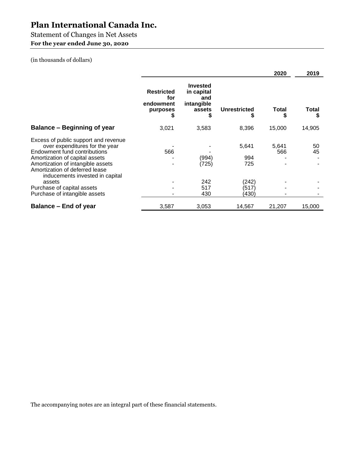Statement of Changes in Net Assets

For the year ended June 30, 2020

### (in thousands of dollars)

|                                                                                                                                                                                                                                                                                                                             |                                                        |                                                                    |                                                | 2020         | 2019     |
|-----------------------------------------------------------------------------------------------------------------------------------------------------------------------------------------------------------------------------------------------------------------------------------------------------------------------------|--------------------------------------------------------|--------------------------------------------------------------------|------------------------------------------------|--------------|----------|
|                                                                                                                                                                                                                                                                                                                             | <b>Restricted</b><br>for<br>endowment<br>purposes<br>S | <b>Invested</b><br>in capital<br>and<br>intangible<br>assets<br>\$ | <b>Unrestricted</b><br>S                       | Total        | Total    |
| <b>Balance – Beginning of year</b>                                                                                                                                                                                                                                                                                          | 3,021                                                  | 3,583                                                              | 8,396                                          | 15,000       | 14,905   |
| Excess of public support and revenue<br>over expenditures for the year<br>Endowment fund contributions<br>Amortization of capital assets<br>Amortization of intangible assets<br>Amortization of deferred lease<br>inducements invested in capital<br>assets<br>Purchase of capital assets<br>Purchase of intangible assets | 566                                                    | (994)<br>(725)<br>242<br>517<br>430                                | 5,641<br>994<br>725<br>(242)<br>(517)<br>(430) | 5,641<br>566 | 50<br>45 |
| <b>Balance – End of year</b>                                                                                                                                                                                                                                                                                                | 3,587                                                  | 3,053                                                              | 14,567                                         | 21,207       | 15,000   |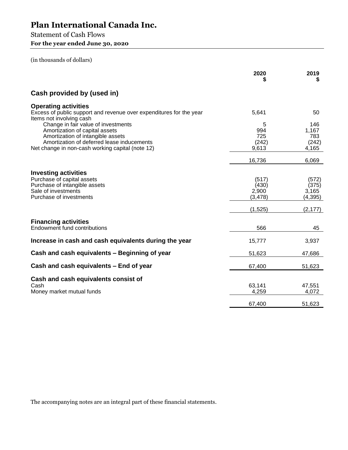Statement of Cash Flows For the year ended June 30, 2020

(in thousands of dollars)

|                                                                                                                                                          | 2020                                | 2019<br>S                           |
|----------------------------------------------------------------------------------------------------------------------------------------------------------|-------------------------------------|-------------------------------------|
| Cash provided by (used in)                                                                                                                               |                                     |                                     |
| <b>Operating activities</b><br>Excess of public support and revenue over expenditures for the year<br>Items not involving cash                           | 5,641                               | 50                                  |
| Change in fair value of investments<br>Amortization of capital assets<br>Amortization of intangible assets<br>Amortization of deferred lease inducements | 5<br>994<br>725                     | 146<br>1,167<br>783                 |
| Net change in non-cash working capital (note 12)                                                                                                         | (242)<br>9,613                      | (242)<br>4,165                      |
|                                                                                                                                                          | 16,736                              | 6,069                               |
| <b>Investing activities</b><br>Purchase of capital assets<br>Purchase of intangible assets<br>Sale of investments<br>Purchase of investments             | (517)<br>(430)<br>2,900<br>(3, 478) | (572)<br>(375)<br>3,165<br>(4, 395) |
|                                                                                                                                                          | (1,525)                             | (2, 177)                            |
| <b>Financing activities</b><br>Endowment fund contributions                                                                                              | 566                                 | 45                                  |
| Increase in cash and cash equivalents during the year                                                                                                    | 15,777                              | 3,937                               |
| Cash and cash equivalents - Beginning of year                                                                                                            | 51,623                              | 47,686                              |
| Cash and cash equivalents - End of year                                                                                                                  | 67,400                              | 51,623                              |
| Cash and cash equivalents consist of                                                                                                                     |                                     |                                     |
| Cash<br>Money market mutual funds                                                                                                                        | 63,141<br>4,259                     | 47,551<br>4,072                     |
|                                                                                                                                                          | 67,400                              | 51,623                              |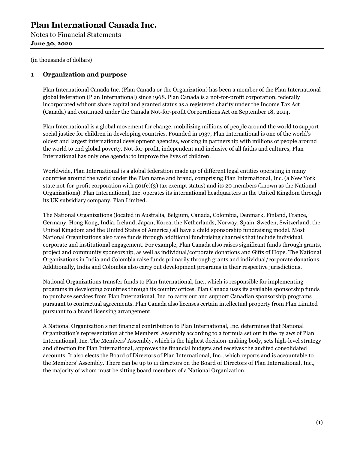**Notes to Financial Statements** June 30, 2020

(in thousands of dollars)

#### **Organization and purpose**  $\mathbf{1}$

Plan International Canada Inc. (Plan Canada or the Organization) has been a member of the Plan International global federation (Plan International) since 1968. Plan Canada is a not-for-profit corporation, federally incorporated without share capital and granted status as a registered charity under the Income Tax Act (Canada) and continued under the Canada Not-for-profit Corporations Act on September 18, 2014.

Plan International is a global movement for change, mobilizing millions of people around the world to support social justice for children in developing countries. Founded in 1937, Plan International is one of the world's oldest and largest international development agencies, working in partnership with millions of people around the world to end global poverty. Not-for-profit, independent and inclusive of all faiths and cultures, Plan International has only one agenda: to improve the lives of children.

Worldwide, Plan International is a global federation made up of different legal entities operating in many countries around the world under the Plan name and brand, comprising Plan International, Inc. (a New York state not-for-profit corporation with  $501(c)(3)$  tax exempt status) and its 20 members (known as the National Organizations). Plan International, Inc. operates its international headquarters in the United Kingdom through its UK subsidiary company, Plan Limited.

The National Organizations (located in Australia, Belgium, Canada, Colombia, Denmark, Finland, France, Germany, Hong Kong, India, Ireland, Japan, Korea, the Netherlands, Norway, Spain, Sweden, Switzerland, the United Kingdom and the United States of America) all have a child sponsorship fundraising model. Most National Organizations also raise funds through additional fundraising channels that include individual, corporate and institutional engagement. For example, Plan Canada also raises significant funds through grants, project and community sponsorship, as well as individual/corporate donations and Gifts of Hope. The National Organizations in India and Colombia raise funds primarily through grants and individual/corporate donations. Additionally, India and Colombia also carry out development programs in their respective jurisdictions.

National Organizations transfer funds to Plan International, Inc., which is responsible for implementing programs in developing countries through its country offices. Plan Canada uses its available sponsorship funds to purchase services from Plan International, Inc. to carry out and support Canadian sponsorship programs pursuant to contractual agreements. Plan Canada also licenses certain intellectual property from Plan Limited pursuant to a brand licensing arrangement.

A National Organization's net financial contribution to Plan International, Inc. determines that National Organization's representation at the Members' Assembly according to a formula set out in the bylaws of Plan International, Inc. The Members' Assembly, which is the highest decision-making body, sets high-level strategy and direction for Plan International, approves the financial budgets and receives the audited consolidated accounts. It also elects the Board of Directors of Plan International, Inc., which reports and is accountable to the Members' Assembly. There can be up to 11 directors on the Board of Directors of Plan International, Inc., the majority of whom must be sitting board members of a National Organization.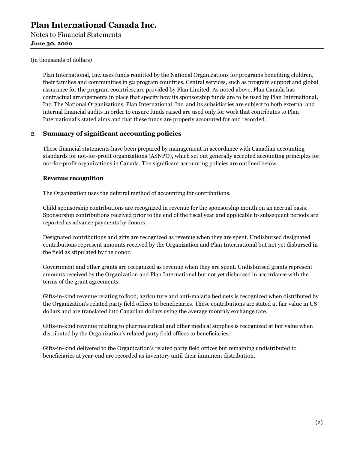**Notes to Financial Statements** June 30, 2020

(in thousands of dollars)

Plan International, Inc. uses funds remitted by the National Organizations for programs benefiting children, their families and communities in 52 program countries. Central services, such as program support and global assurance for the program countries, are provided by Plan Limited. As noted above, Plan Canada has contractual arrangements in place that specify how its sponsorship funds are to be used by Plan International, Inc. The National Organizations, Plan International, Inc. and its subsidiaries are subject to both external and internal financial audits in order to ensure funds raised are used only for work that contributes to Plan International's stated aims and that these funds are properly accounted for and recorded.

#### **Summary of significant accounting policies**  $\mathbf 2$

These financial statements have been prepared by management in accordance with Canadian accounting standards for not-for-profit organizations (ASNPO), which set out generally accepted accounting principles for not-for-profit organizations in Canada. The significant accounting policies are outlined below.

#### **Revenue recognition**

The Organization uses the deferral method of accounting for contributions.

Child sponsorship contributions are recognized in revenue for the sponsorship month on an accrual basis. Sponsorship contributions received prior to the end of the fiscal year and applicable to subsequent periods are reported as advance payments by donors.

Designated contributions and gifts are recognized as revenue when they are spent. Undisbursed designated contributions represent amounts received by the Organization and Plan International but not yet disbursed in the field as stipulated by the donor.

Government and other grants are recognized as revenue when they are spent. Undisbursed grants represent amounts received by the Organization and Plan International but not yet disbursed in accordance with the terms of the grant agreements.

Gifts-in-kind revenue relating to food, agriculture and anti-malaria bed nets is recognized when distributed by the Organization's related party field offices to beneficiaries. These contributions are stated at fair value in US dollars and are translated into Canadian dollars using the average monthly exchange rate.

Gifts-in-kind revenue relating to pharmaceutical and other medical supplies is recognized at fair value when distributed by the Organization's related party field offices to beneficiaries.

Gifts-in-kind delivered to the Organization's related party field offices but remaining undistributed to beneficiaries at year-end are recorded as inventory until their imminent distribution.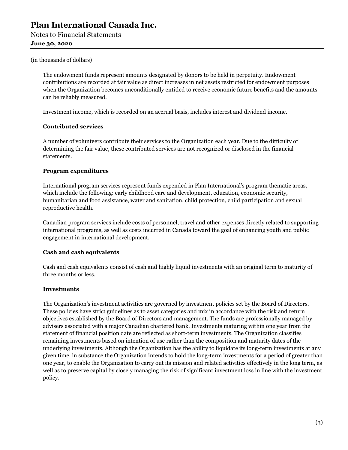**Notes to Financial Statements** June 30, 2020

#### (in thousands of dollars)

The endowment funds represent amounts designated by donors to be held in perpetuity. Endowment contributions are recorded at fair value as direct increases in net assets restricted for endowment purposes when the Organization becomes unconditionally entitled to receive economic future benefits and the amounts can be reliably measured.

Investment income, which is recorded on an accrual basis, includes interest and dividend income.

#### **Contributed services**

A number of volunteers contribute their services to the Organization each year. Due to the difficulty of determining the fair value, these contributed services are not recognized or disclosed in the financial statements.

#### **Program expenditures**

International program services represent funds expended in Plan International's program thematic areas, which include the following: early childhood care and development, education, economic security, humanitarian and food assistance, water and sanitation, child protection, child participation and sexual reproductive health.

Canadian program services include costs of personnel, travel and other expenses directly related to supporting international programs, as well as costs incurred in Canada toward the goal of enhancing youth and public engagement in international development.

#### **Cash and cash equivalents**

Cash and cash equivalents consist of cash and highly liquid investments with an original term to maturity of three months or less.

#### **Investments**

The Organization's investment activities are governed by investment policies set by the Board of Directors. These policies have strict guidelines as to asset categories and mix in accordance with the risk and return objectives established by the Board of Directors and management. The funds are professionally managed by advisers associated with a major Canadian chartered bank. Investments maturing within one year from the statement of financial position date are reflected as short-term investments. The Organization classifies remaining investments based on intention of use rather than the composition and maturity dates of the underlying investments. Although the Organization has the ability to liquidate its long-term investments at any given time, in substance the Organization intends to hold the long-term investments for a period of greater than one year, to enable the Organization to carry out its mission and related activities effectively in the long term, as well as to preserve capital by closely managing the risk of significant investment loss in line with the investment policy.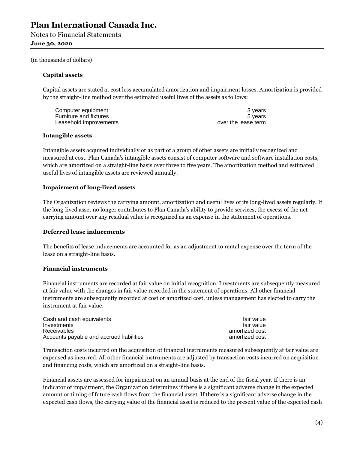**Notes to Financial Statements** June 30, 2020

(in thousands of dollars)

#### **Capital assets**

Capital assets are stated at cost less accumulated amortization and impairment losses. Amortization is provided by the straight-line method over the estimated useful lives of the assets as follows:

Computer equipment Furniture and fixtures Leasehold improvements

3 years 5 years over the lease term

#### **Intangible assets**

Intangible assets acquired individually or as part of a group of other assets are initially recognized and measured at cost. Plan Canada's intangible assets consist of computer software and software installation costs, which are amortized on a straight-line basis over three to five years. The amortization method and estimated useful lives of intangible assets are reviewed annually.

#### **Impairment of long-lived assets**

The Organization reviews the carrying amount, amortization and useful lives of its long-lived assets regularly. If the long-lived asset no longer contributes to Plan Canada's ability to provide services, the excess of the net carrying amount over any residual value is recognized as an expense in the statement of operations.

#### **Deferred lease inducements**

The benefits of lease inducements are accounted for as an adjustment to rental expense over the term of the lease on a straight-line basis.

#### **Financial instruments**

Financial instruments are recorded at fair value on initial recognition. Investments are subsequently measured at fair value with the changes in fair value recorded in the statement of operations. All other financial instruments are subsequently recorded at cost or amortized cost, unless management has elected to carry the instrument at fair value.

| Cash and cash equivalents                | fair value     |
|------------------------------------------|----------------|
| Investments                              | fair value     |
| <b>Receivables</b>                       | amortized cost |
| Accounts payable and accrued liabilities | amortized cost |

Transaction costs incurred on the acquisition of financial instruments measured subsequently at fair value are expensed as incurred. All other financial instruments are adjusted by transaction costs incurred on acquisition and financing costs, which are amortized on a straight-line basis.

Financial assets are assessed for impairment on an annual basis at the end of the fiscal year. If there is an indicator of impairment, the Organization determines if there is a significant adverse change in the expected amount or timing of future cash flows from the financial asset. If there is a significant adverse change in the expected cash flows, the carrying value of the financial asset is reduced to the present value of the expected cash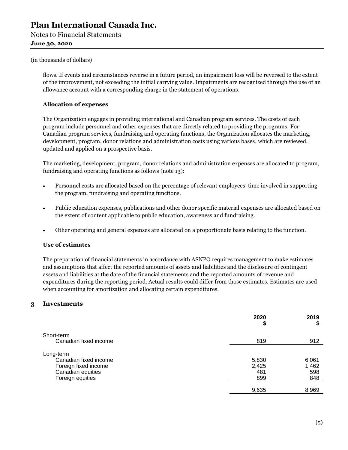**Notes to Financial Statements** June 30, 2020

#### (in thousands of dollars)

flows. If events and circumstances reverse in a future period, an impairment loss will be reversed to the extent of the improvement, not exceeding the initial carrying value. Impairments are recognized through the use of an allowance account with a corresponding charge in the statement of operations.

#### **Allocation of expenses**

The Organization engages in providing international and Canadian program services. The costs of each program include personnel and other expenses that are directly related to providing the programs. For Canadian program services, fundraising and operating functions, the Organization allocates the marketing, development, program, donor relations and administration costs using various bases, which are reviewed, updated and applied on a prospective basis.

The marketing, development, program, donor relations and administration expenses are allocated to program, fundraising and operating functions as follows (note 13):

- Personnel costs are allocated based on the percentage of relevant employees' time involved in supporting  $\bullet$ the program, fundraising and operating functions.
- Public education expenses, publications and other donor specific material expenses are allocated based on  $\bullet$ the extent of content applicable to public education, awareness and fundraising.
- $\bullet$ Other operating and general expenses are allocated on a proportionate basis relating to the function.

#### **Use of estimates**

The preparation of financial statements in accordance with ASNPO requires management to make estimates and assumptions that affect the reported amounts of assets and liabilities and the disclosure of contingent assets and liabilities at the date of the financial statements and the reported amounts of revenue and expenditures during the reporting period. Actual results could differ from those estimates. Estimates are used when accounting for amortization and allocating certain expenditures.

#### **Investments** 3

|                       | 2020<br>\$ | 2019<br>\$ |
|-----------------------|------------|------------|
| Short-term            |            |            |
| Canadian fixed income | 819        | 912        |
| Long-term             |            |            |
| Canadian fixed income | 5,830      | 6,061      |
| Foreign fixed income  | 2,425      | 1,462      |
| Canadian equities     | 481        | 598        |
| Foreign equities      | 899        | 848        |
|                       | 9,635      | 8,969      |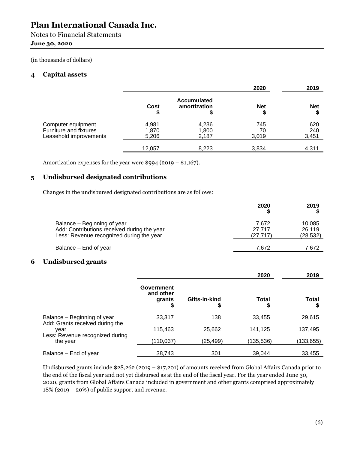Notes to Financial Statements

#### June 30, 2020

(in thousands of dollars)

#### 4 Capital assets

|                                                         |                |                                    | 2020        | 2019         |
|---------------------------------------------------------|----------------|------------------------------------|-------------|--------------|
|                                                         | Cost<br>\$     | <b>Accumulated</b><br>amortization | <b>Net</b>  | <b>Net</b>   |
| Computer equipment                                      | 4,981          | 4,236                              | 745         | 620          |
| <b>Furniture and fixtures</b><br>Leasehold improvements | 1,870<br>5,206 | 1,800<br>2,187                     | 70<br>3,019 | 240<br>3,451 |
|                                                         | 12,057         | 8,223                              | 3,834       | 4,311        |

Amortization expenses for the year were  $$994 (2019 - $1,167)$ .

#### 5 Undisbursed designated contributions

Changes in the undisbursed designated contributions are as follows:

|                                                                                                                        | 2020                         | 2019                          |
|------------------------------------------------------------------------------------------------------------------------|------------------------------|-------------------------------|
| Balance – Beginning of year<br>Add: Contributions received during the year<br>Less: Revenue recognized during the year | 7.672<br>27.717<br>(27, 717) | 10,085<br>26.119<br>(28, 532) |
| Balance - End of year                                                                                                  | 7.672                        | 7.672                         |

#### 6 Undisbursed grants

|                                                                |                                         |                    | 2020               | 2019         |  |
|----------------------------------------------------------------|-----------------------------------------|--------------------|--------------------|--------------|--|
|                                                                | Government<br>and other<br>grants<br>\$ | Gifts-in-kind<br>₽ | <b>Total</b><br>\$ | <b>Total</b> |  |
| Balance - Beginning of year<br>Add: Grants received during the | 33,317                                  | 138                | 33,455             | 29,615       |  |
| year<br>Less: Revenue recognized during<br>the year            | 115,463                                 | 25,662             | 141,125            | 137,495      |  |
|                                                                | (110,037)                               | (25, 499)          | (135,536)          | (133,655)    |  |
| Balance - End of year                                          | 38,743                                  | 301                | 39.044             | 33,455       |  |

Undisbursed grants include \$28,262 (2019 – \$17,201) of amounts received from Global Affairs Canada prior to the end of the fiscal year and not yet disbursed as at the end of the fiscal year. For the year ended June 30, 2020, grants from Global Affairs Canada included in government and other grants comprised approximately  $18\%$  (2019 – 20%) of public support and revenue.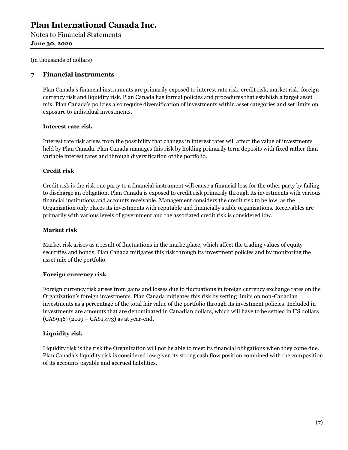**Notes to Financial Statements** June 30, 2020

(in thousands of dollars)

#### **Financial instruments**  $\overline{7}$

Plan Canada's financial instruments are primarily exposed to interest rate risk, credit risk, market risk, foreign currency risk and liquidity risk. Plan Canada has formal policies and procedures that establish a target asset mix. Plan Canada's policies also require diversification of investments within asset categories and set limits on exposure to individual investments.

#### **Interest rate risk**

Interest rate risk arises from the possibility that changes in interest rates will affect the value of investments held by Plan Canada. Plan Canada manages this risk by holding primarily term deposits with fixed rather than variable interest rates and through diversification of the portfolio.

#### **Credit risk**

Credit risk is the risk one party to a financial instrument will cause a financial loss for the other party by failing to discharge an obligation. Plan Canada is exposed to credit risk primarily through its investments with various financial institutions and accounts receivable. Management considers the credit risk to be low, as the Organization only places its investments with reputable and financially stable organizations. Receivables are primarily with various levels of government and the associated credit risk is considered low.

#### Market risk

Market risk arises as a result of fluctuations in the marketplace, which affect the trading values of equity securities and bonds. Plan Canada mitigates this risk through its investment policies and by monitoring the asset mix of the portfolio.

#### Foreign currency risk

Foreign currency risk arises from gains and losses due to fluctuations in foreign currency exchange rates on the Organization's foreign investments. Plan Canada mitigates this risk by setting limits on non-Canadian investments as a percentage of the total fair value of the portfolio through its investment policies. Included in investments are amounts that are denominated in Canadian dollars, which will have to be settled in US dollars (CA\$946) (2019 - CA\$1,473) as at year-end.

#### **Liquidity risk**

Liquidity risk is the risk the Organization will not be able to meet its financial obligations when they come due. Plan Canada's liquidity risk is considered low given its strong cash flow position combined with the composition of its accounts payable and accrued liabilities.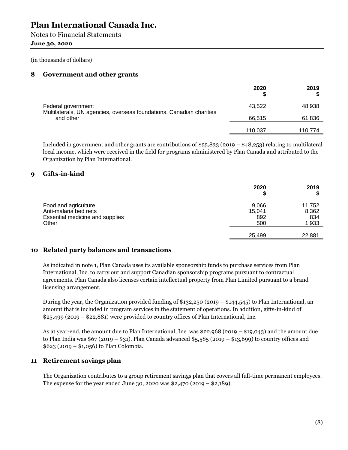**Notes to Financial Statements** 

#### June 30, 2020

(in thousands of dollars)

#### 8 Government and other grants

|                                                                                            | 2020    | 2019    |
|--------------------------------------------------------------------------------------------|---------|---------|
| Federal government<br>Multilaterals, UN agencies, overseas foundations, Canadian charities | 43.522  | 48,938  |
| and other                                                                                  | 66.515  | 61,836  |
|                                                                                            | 110.037 | 110.774 |

Included in government and other grants are contributions of  $$55,833$  (2019 –  $$48,253$ ) relating to multilateral local income, which were received in the field for programs administered by Plan Canada and attributed to the Organization by Plan International.

#### Gifts-in-kind  $\boldsymbol{Q}$

|                                                                                           | 2020                          | 2019                            |
|-------------------------------------------------------------------------------------------|-------------------------------|---------------------------------|
| Food and agriculture<br>Anti-malaria bed nets<br>Essential medicine and supplies<br>Other | 9,066<br>15,041<br>892<br>500 | 11,752<br>8,362<br>834<br>1,933 |
|                                                                                           | 25,499                        | 22,881                          |

#### 10 Related party balances and transactions

As indicated in note 1, Plan Canada uses its available sponsorship funds to purchase services from Plan International, Inc. to carry out and support Canadian sponsorship programs pursuant to contractual agreements. Plan Canada also licenses certain intellectual property from Plan Limited pursuant to a brand licensing arrangement.

During the year, the Organization provided funding of  $$132,250$  (2019 –  $$144,545$ ) to Plan International, an amount that is included in program services in the statement of operations. In addition, gifts-in-kind of \$25,499 (2019 – \$22,881) were provided to country offices of Plan International, Inc.

As at year-end, the amount due to Plan International, Inc. was \$22,968 (2019 – \$19,043) and the amount due to Plan India was \$67 (2019 – \$31). Plan Canada advanced \$5,585 (2019 – \$13,699) to country offices and  $$623 (2019 - $1,056)$  to Plan Colombia.

### 11 Retirement savings plan

The Organization contributes to a group retirement savings plan that covers all full-time permanent employees. The expense for the year ended June 30, 2020 was \$2,470 (2019 - \$2,189).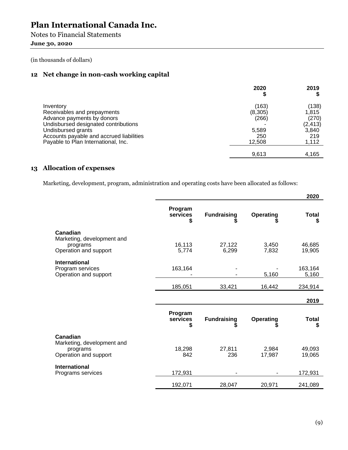Notes to Financial Statements

### June 30, 2020

(in thousands of dollars)

### 12 Net change in non-cash working capital

|                                                                                                                                                                                                                         | 2020                                                 | 2019                                                         |
|-------------------------------------------------------------------------------------------------------------------------------------------------------------------------------------------------------------------------|------------------------------------------------------|--------------------------------------------------------------|
| Inventory<br>Receivables and prepayments<br>Advance payments by donors<br>Undisbursed designated contributions<br>Undisbursed grants<br>Accounts payable and accrued liabilities<br>Payable to Plan International, Inc. | (163)<br>(8, 305)<br>(266)<br>5,589<br>250<br>12,508 | (138)<br>1.815<br>(270)<br>(2, 413)<br>3,840<br>219<br>1,112 |
|                                                                                                                                                                                                                         | 9,613                                                | 4.165                                                        |

### 13 Allocation of expenses

Marketing, development, program, administration and operating costs have been allocated as follows:

|                                                                             |                           |                         |                       | 2020               |
|-----------------------------------------------------------------------------|---------------------------|-------------------------|-----------------------|--------------------|
|                                                                             | Program<br>services<br>\$ | <b>Fundraising</b><br>5 | <b>Operating</b>      | <b>Total</b><br>\$ |
| Canadian<br>Marketing, development and<br>programs<br>Operation and support | 16,113<br>5,774           | 27,122<br>6,299         | 3,450<br>7,832        | 46,685<br>19,905   |
| <b>International</b><br>Program services<br>Operation and support           | 163,164                   |                         | 5,160                 | 163,164<br>5,160   |
|                                                                             | 185,051                   | 33,421                  | 16,442                | 234,914            |
|                                                                             |                           |                         |                       |                    |
|                                                                             |                           |                         |                       | 2019               |
|                                                                             | Program<br>services<br>S  | <b>Fundraising</b><br>5 | <b>Operating</b><br>S | <b>Total</b><br>\$ |
| Canadian<br>Marketing, development and<br>programs<br>Operation and support | 18,298<br>842             | 27,811<br>236           | 2,984<br>17,987       | 49,093<br>19,065   |
| <b>International</b><br>Programs services                                   | 172,931                   |                         |                       | 172,931            |